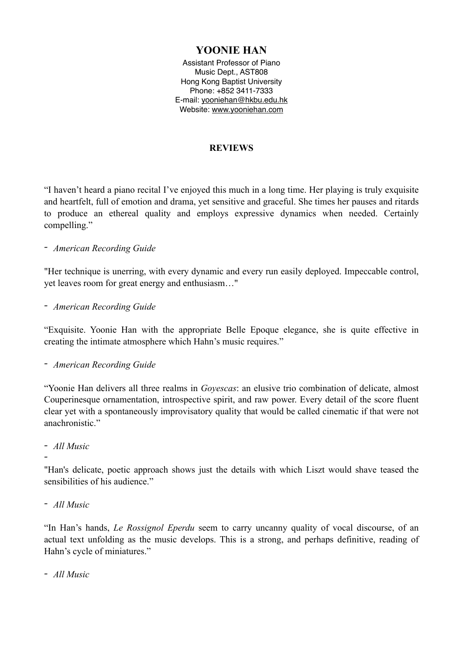# **YOONIE HAN**

Assistant Professor of Piano Music Dept., AST808 Hong Kong Baptist University Phone: +852 3411-7333 E-mail: [yooniehan@hkbu.edu.hk](mailto:yooniehan@hkbu.edu.hk) Website: [www.yooniehan.com](http://www.yooniehan.com)

#### **REVIEWS**

"I haven't heard a piano recital I've enjoyed this much in a long time. Her playing is truly exquisite and heartfelt, full of emotion and drama, yet sensitive and graceful. She times her pauses and ritards to produce an ethereal quality and employs expressive dynamics when needed. Certainly compelling."

#### *- American Recording Guide*

"Her technique is unerring, with every dynamic and every run easily deployed. Impeccable control, yet leaves room for great energy and enthusiasm…"

*- American Recording Guide* 

"Exquisite. Yoonie Han with the appropriate Belle Epoque elegance, she is quite effective in creating the intimate atmosphere which Hahn's music requires."

*- American Recording Guide* 

"Yoonie Han delivers all three realms in *Goyescas*: an elusive trio combination of delicate, almost Couperinesque ornamentation, introspective spirit, and raw power. Every detail of the score fluent clear yet with a spontaneously improvisatory quality that would be called cinematic if that were not anachronistic."

#### *- All Music*

*-*

"Han's delicate, poetic approach shows just the details with which Liszt would shave teased the sensibilities of his audience."

*- All Music* 

"In Han's hands, *Le Rossignol Eperdu* seem to carry uncanny quality of vocal discourse, of an actual text unfolding as the music develops. This is a strong, and perhaps definitive, reading of Hahn's cycle of miniatures."

*- All Music*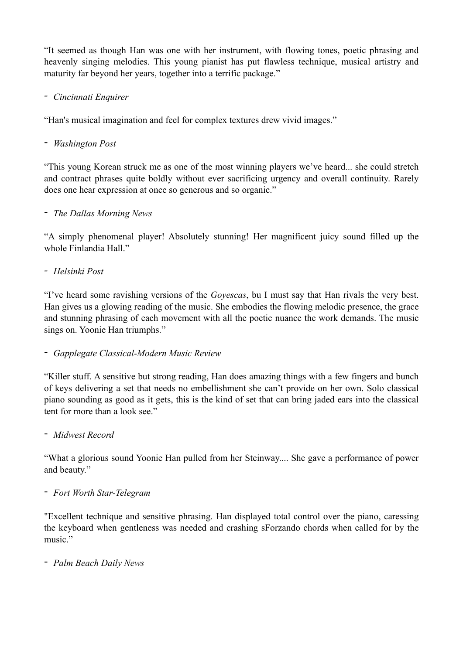"It seemed as though Han was one with her instrument, with flowing tones, poetic phrasing and heavenly singing melodies. This young pianist has put flawless technique, musical artistry and maturity far beyond her years, together into a terrific package."

## *- Cincinnati Enquirer*

"Han's musical imagination and feel for complex textures drew vivid images."

## - *Washington Post*

"This young Korean struck me as one of the most winning players we've heard... she could stretch and contract phrases quite boldly without ever sacrificing urgency and overall continuity. Rarely does one hear expression at once so generous and so organic."

### - *The Dallas Morning News*

"A simply phenomenal player! Absolutely stunning! Her magnificent juicy sound filled up the whole Finlandia Hall."

## *- Helsinki Post*

"I've heard some ravishing versions of the *Goyescas*, bu I must say that Han rivals the very best. Han gives us a glowing reading of the music. She embodies the flowing melodic presence, the grace and stunning phrasing of each movement with all the poetic nuance the work demands. The music sings on. Yoonie Han triumphs."

### - *Gapplegate Classical-Modern Music Review*

"Killer stuff. A sensitive but strong reading, Han does amazing things with a few fingers and bunch of keys delivering a set that needs no embellishment she can't provide on her own. Solo classical piano sounding as good as it gets, this is the kind of set that can bring jaded ears into the classical tent for more than a look see."

### - *Midwest Record*

"What a glorious sound Yoonie Han pulled from her Steinway.... She gave a performance of power and beauty."

### - *Fort Worth Star-Telegram*

"Excellent technique and sensitive phrasing. Han displayed total control over the piano, caressing the keyboard when gentleness was needed and crashing sForzando chords when called for by the music."

### - *Palm Beach Daily News*